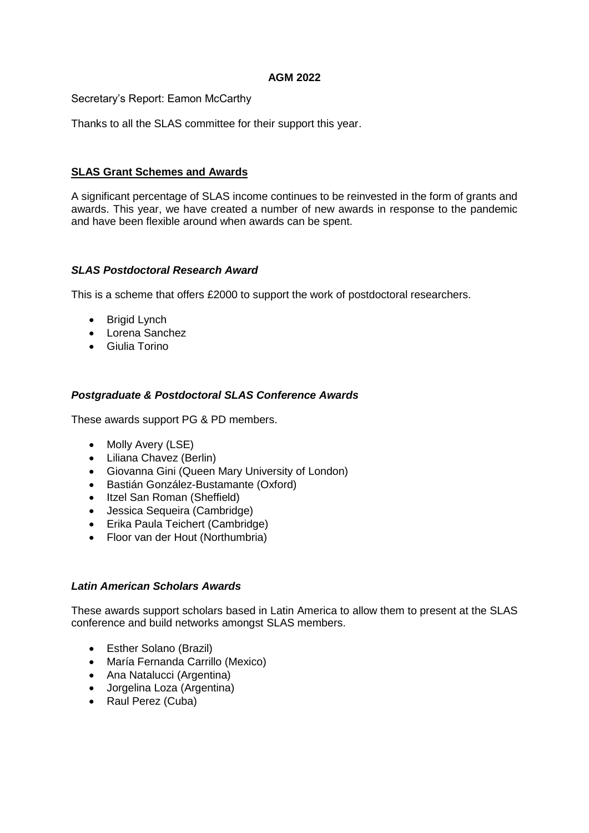### **AGM 2022**

Secretary's Report: Eamon McCarthy

Thanks to all the SLAS committee for their support this year.

# **SLAS Grant Schemes and Awards**

A significant percentage of SLAS income continues to be reinvested in the form of grants and awards. This year, we have created a number of new awards in response to the pandemic and have been flexible around when awards can be spent.

# *SLAS Postdoctoral Research Award*

This is a scheme that offers £2000 to support the work of postdoctoral researchers.

- Brigid Lynch
- Lorena Sanchez
- Giulia Torino

# *Postgraduate & Postdoctoral SLAS Conference Awards*

These awards support PG & PD members.

- Molly Avery (LSE)
- Liliana Chavez (Berlin)
- Giovanna Gini (Queen Mary University of London)
- Bastián González-Bustamante (Oxford)
- Itzel San Roman (Sheffield)
- Jessica Sequeira (Cambridge)
- Erika Paula Teichert (Cambridge)
- Floor van der Hout (Northumbria)

#### *Latin American Scholars Awards*

These awards support scholars based in Latin America to allow them to present at the SLAS conference and build networks amongst SLAS members.

- Esther Solano (Brazil)
- María Fernanda Carrillo (Mexico)
- Ana Natalucci (Argentina)
- Jorgelina Loza (Argentina)
- Raul Perez (Cuba)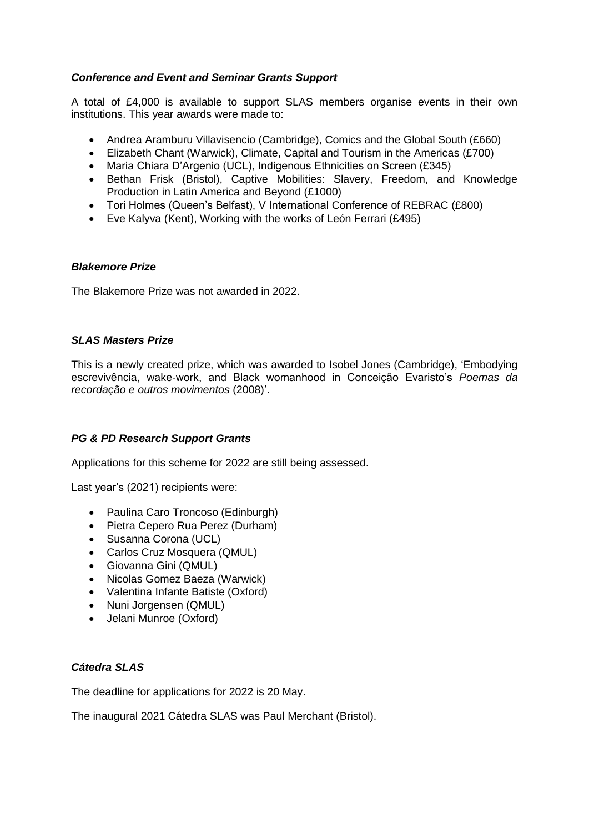### *Conference and Event and Seminar Grants Support*

A total of £4,000 is available to support SLAS members organise events in their own institutions. This year awards were made to:

- Andrea Aramburu Villavisencio (Cambridge), Comics and the Global South (£660)
- Elizabeth Chant (Warwick), Climate, Capital and Tourism in the Americas (£700)
- Maria Chiara D'Argenio (UCL), Indigenous Ethnicities on Screen (£345)
- Bethan Frisk (Bristol), Captive Mobilities: Slavery, Freedom, and Knowledge Production in Latin America and Beyond (£1000)
- Tori Holmes (Queen's Belfast), V International Conference of REBRAC (£800)
- Eve Kalyva (Kent), Working with the works of León Ferrari (£495)

#### *Blakemore Prize*

The Blakemore Prize was not awarded in 2022.

#### *SLAS Masters Prize*

This is a newly created prize, which was awarded to Isobel Jones (Cambridge), 'Embodying escrevivência, wake-work, and Black womanhood in Conceição Evaristo's *Poemas da recordação e outros movimentos* (2008)'.

#### *PG & PD Research Support Grants*

Applications for this scheme for 2022 are still being assessed.

Last year's (2021) recipients were:

- Paulina Caro Troncoso (Edinburgh)
- Pietra Cepero Rua Perez (Durham)
- Susanna Corona (UCL)
- Carlos Cruz Mosquera (QMUL)
- Giovanna Gini (QMUL)
- Nicolas Gomez Baeza (Warwick)
- Valentina Infante Batiste (Oxford)
- Nuni Jorgensen (QMUL)
- Jelani Munroe (Oxford)

#### *Cátedra SLAS*

The deadline for applications for 2022 is 20 May.

The inaugural 2021 Cátedra SLAS was Paul Merchant (Bristol).